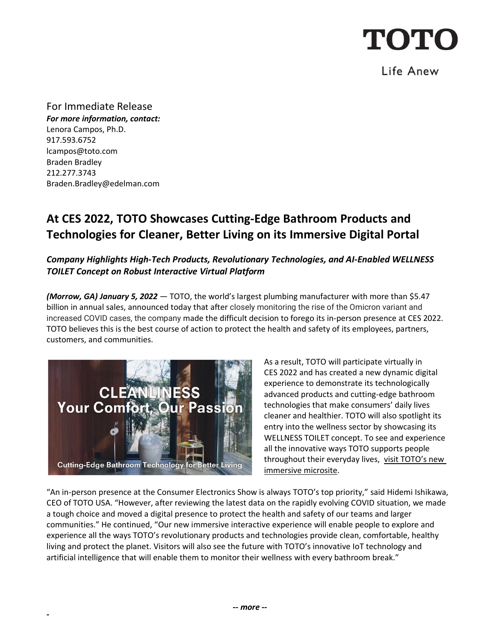

### Life Anew

For Immediate Release *For more information, contact:* Lenora Campos, Ph.D. 917.593.6752 [lcampos@toto.com](mailto:lcampos@toto.com) Braden Bradley 212.277.3743 Braden.Bradley@edelman.com

## **At CES 2022, TOTO Showcases Cutting-Edge Bathroom Products and Technologies for Cleaner, Better Living on its Immersive Digital Portal**

### *Company Highlights High-Tech Products, Revolutionary Technologies, and AI-Enabled WELLNESS TOILET Concept on Robust Interactive Virtual Platform*

*(Morrow, GA) January 5, 2022* — TOTO, the world's largest plumbing manufacturer with more than \$5.47 billion in annual sales, announced today that after closely monitoring the rise of the Omicron variant and increased COVID cases, the company made the difficult decision to forego its in-person presence at CES 2022. TOTO believes this is the best course of action to protect the health and safety of its employees, partners, customers, and communities.



*-*

As a result, TOTO will participate virtually in CES 2022 and has created a new dynamic digital experience to demonstrate its technologically advanced products and cutting-edge bathroom technologies that make consumers' daily lives cleaner and healthier. TOTO will also spotlight its entry into the wellness sector by showcasing its WELLNESS TOILET concept. To see and experience all the innovative ways TOTO supports people throughout their everyday lives, visit TOTO's new [immersive microsite.](https://www.toto.com/ces2022/?frm=tus)

"An in-person presence at the Consumer Electronics Show is always TOTO's top priority," said Hidemi Ishikawa, CEO of TOTO USA. "However, after reviewing the latest data on the rapidly evolving COVID situation, we made a tough choice and moved a digital presence to protect the health and safety of our teams and larger communities." He continued, "Our new immersive interactive experience will enable people to explore and experience all the ways TOTO's revolutionary products and technologies provide clean, comfortable, healthy living and protect the planet. Visitors will also see the future with TOTO's innovative IoT technology and artificial intelligence that will enable them to monitor their wellness with every bathroom break."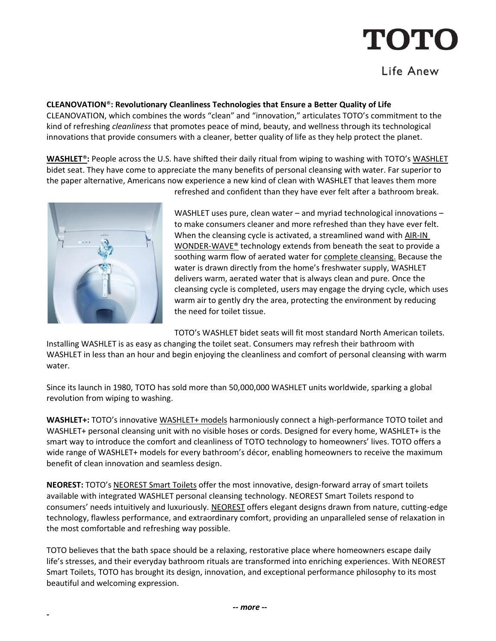# TOTC

## Life Anew

**CLEANOVATION**®**: Revolutionary Cleanliness Technologies that Ensure a Better Quality of Life**

CLEANOVATION, which combines the words "clean" and "innovation," articulates TOTO's commitment to the kind of refreshing *cleanliness* that promotes peace of mind, beauty, and wellness through its technological innovations that provide consumers with a cleaner, better quality of life as they help protect the planet.

**[WASHLET](https://www.youtube.com/watch?v=U8KyBlGWI2k)**®**:** People across the U.S. have shifted their daily ritual from wiping to washing with TOTO's [WASHLET](https://washlet.totousa.com/) bidet seat. They have come to appreciate the many benefits of personal cleansing with water. Far superior to the paper alternative, Americans now experience a new kind of clean with WASHLET that leaves them more



*-*

refreshed and confident than they have ever felt after a bathroom break.

WASHLET uses pure, clean water – and myriad technological innovations – to make consumers cleaner and more refreshed than they have ever felt. When the cleansing cycle is activated, a streamlined wand with [AIR-IN](https://www.youtube.com/watch?v=Lld8NSGslJk)  [WONDER-WAVE®](https://www.youtube.com/watch?v=Lld8NSGslJk) technology extends from beneath the seat to provide a soothing warm flow of aerated water for [complete cleansing.](https://www.youtube.com/watch?v=7UYuLqRA_NM) Because the water is drawn directly from the home's freshwater supply, WASHLET delivers warm, aerated water that is always clean and pure. Once the cleansing cycle is completed, users may engage the drying cycle, which uses warm air to gently dry the area, protecting the environment by reducing the need for toilet tissue.

TOTO's WASHLET bidet seats will fit most standard North American toilets.

Installing WASHLET is as easy as changing the toilet seat. Consumers may refresh their bathroom with WASHLET in less than an hour and begin enjoying the cleanliness and comfort of personal cleansing with warm water.

Since its launch in 1980, TOTO has sold more than 50,000,000 WASHLET units worldwide, sparking a global revolution from wiping to washing.

**WASHLET+:** TOTO's innovative [WASHLET+ models](https://www.totousa.com/products/washlet#subcategories=10175212631916030446) harmoniously connect a high-performance TOTO toilet and WASHLET+ personal cleansing unit with no visible hoses or cords. Designed for every home, WASHLET+ is the smart way to introduce the comfort and cleanliness of TOTO technology to homeowners' lives. TOTO offers a wide range of WASHLET+ models for every bathroom's décor, enabling homeowners to receive the maximum benefit of clean innovation and seamless design.

**NEOREST:** TOTO's [NEOREST Smart Toilets](https://www.totousa.com/products/toilets/neorest#subcategories=10172481656479412699) offer the most innovative, design-forward array of smart toilets available with integrated WASHLET personal cleansing technology. NEOREST Smart Toilets respond to consumers' needs intuitively and luxuriously. [NEOREST](https://www.totousa.com/neorest) offers elegant designs drawn from nature, cutting-edge technology, flawless performance, and extraordinary comfort, providing an unparalleled sense of relaxation in the most comfortable and refreshing way possible.

TOTO believes that the bath space should be a relaxing, restorative place where homeowners escape daily life's stresses, and their everyday bathroom rituals are transformed into enriching experiences. With NEOREST Smart Toilets, TOTO has brought its design, innovation, and exceptional performance philosophy to its most beautiful and welcoming expression.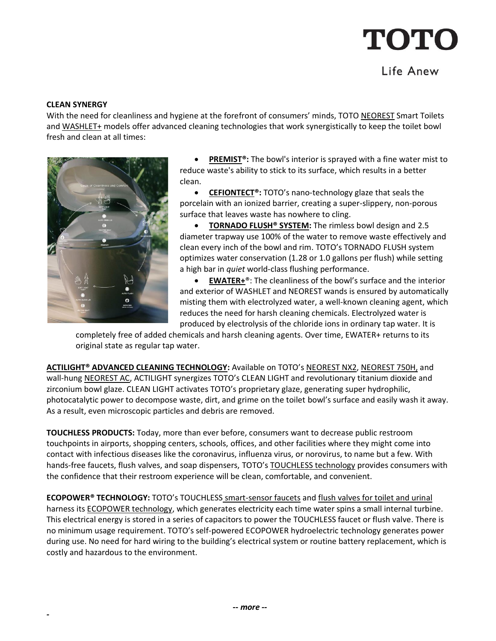## TOTO

### Life Anew

#### **CLEAN SYNERGY**

*-*

With the need for cleanliness and hygiene at the forefront of consumers' minds, TOTO [NEOREST](https://www.totousa.com/products/neorest#subcategories=10176582062232732661) Smart Toilets and [WASHLET+](https://www.totousa.com/search?query=washlet%2B) models offer advanced cleaning technologies that work synergistically to keep the toilet bowl fresh and clean at all times:



• **[PREMIST®](https://www.youtube.com/watch?v=SUc4CxRS_yg):** The bowl's interior is sprayed with a fine water mist to reduce waste's ability to stick to its surface, which results in a better clean.

• **[CEFIONTECT®](https://www.youtube.com/watch?v=q7yC84CwHo4):** TOTO's nano-technology glaze that seals the porcelain with an ionized barrier, creating a super-slippery, non-porous surface that leaves waste has nowhere to cling.

• **TORNADO FLUSH<sup>®</sup> SYSTEM:** The rimless bowl design and 2.5 diameter trapway use 100% of the water to remove waste effectively and clean every inch of the bowl and rim. TOTO's TORNADO FLUSH system optimizes water conservation (1.28 or 1.0 gallons per flush) while setting a high bar in *quiet* world-class flushing performance.

• **[EWATER+](https://www.youtube.com/watch?v=rPG_reHr2uo)**®: The cleanliness of the bowl's surface and the interior and exterior of WASHLET and NEOREST wands is ensured by automatically misting them with electrolyzed water, a well-known cleaning agent, which reduces the need for harsh cleaning chemicals. Electrolyzed water is produced by electrolysis of the chloride ions in ordinary tap water. It is

completely free of added chemicals and harsh cleaning agents. Over time, EWATER+ returns to its original state as regular tap water.

**[ACTILIGHT® ADVANCED CLEANING TECHNOLOGY:](https://www.youtube.com/watch?v=27VORWaAZSc)** Available on TOTO's [NEOREST NX2,](https://www.totousa.com/neorest-nx2-dual-flush-toilet-10-gpf-08-gpf) [NEOREST 750H,](https://www.totousa.com/neorest-750h-dual-flush-toilet-10-and-08-gpf-with-actilight) and wall-hung [NEOREST AC,](https://www.totousa.com/neorest-ac-wall-hung-dual-flush-toilet-with-actilight) ACTILIGHT synergizes TOTO's CLEAN LIGHT and revolutionary titanium dioxide and zirconium bowl glaze. CLEAN LIGHT activates TOTO's proprietary glaze, generating super hydrophilic, photocatalytic power to decompose waste, dirt, and grime on the toilet bowl's surface and easily wash it away. As a result, even microscopic particles and debris are removed.

**TOUCHLESS PRODUCTS:** Today, more than ever before, consumers want to decrease public restroom touchpoints in airports, shopping centers, schools, offices, and other facilities where they might come into contact with infectious diseases like the coronavirus, influenza virus, or norovirus, to name but a few. With hands-free faucets, flush valves, and soap dispensers, TOTO's [TOUCHLESS technology](https://www.totousa.com/touchless) provides consumers with the confidence that their restroom experience will be clean, comfortable, and convenient.

**ECOPOWER® TECHNOLOGY:** TOTO's TOUCHLESS [smart-sensor faucets](https://www.totousa.com/products/commercial#subcategories=10170249937293649938) and [flush valves for toilet and urinal](https://www.totousa.com/products/commercial#subcategories=10172282318988567253) harness its **ECOPOWER technology**, which generates electricity each time water spins a small internal turbine. This electrical energy is stored in a series of capacitors to power the TOUCHLESS faucet or flush valve. There is no minimum usage requirement. TOTO's self-powered ECOPOWER hydroelectric technology generates power during use. No need for hard wiring to the building's electrical system or routine battery replacement, which is costly and hazardous to the environment.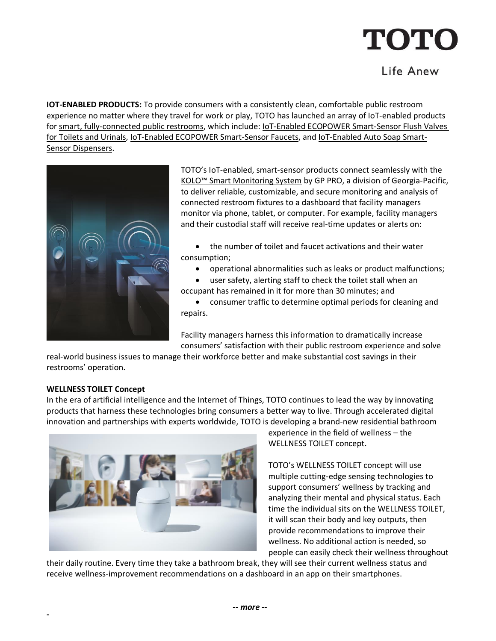# **TOTO**

## Life Anew

**IOT-ENABLED PRODUCTS:** To provide consumers with a consistently clean, comfortable public restroom experience no matter where they travel for work or play, TOTO has launched an array of IoT-enabled products for [smart, fully-connected public restrooms,](https://www.totousa.com/toto-smart-restroom) which include: **IOT-Enabled ECOPOWER Smart-Sensor Flush Valves** [for Toilets and Urinals,](https://www.totousa.com/products/commercial#subcategories=10172282318988567253&iot_subcats=10172282318988567253) [IoT-Enabled ECOPOWER Smart-Sensor Faucets,](https://www.totousa.com/products/commercial#subcategories=10170249937293649938&iot_subcats=10170249937293649938) and [IoT-Enabled Auto Soap Smart-](https://www.totousa.com/products/commercial#subcategories=10171137225267680923&iot_subcats=10171137225267680923)[Sensor Dispensers.](https://www.totousa.com/products/commercial#subcategories=10171137225267680923&iot_subcats=10171137225267680923)



TOTO's IoT-enabled, smart-sensor products connect seamlessly with the KOLO[™ Smart Monitoring System](https://www.gppro.com/gp/solutions/kolo-smart-monitoring-system?utm_source=press-release&utm_medium=public-relations&utm_campaign=kolo-smart-monitoring-system) by GP PRO, a division of Georgia-Pacific, to deliver reliable, customizable, and secure monitoring and analysis of connected restroom fixtures to a dashboard that facility managers monitor via phone, tablet, or computer. For example, facility managers and their custodial staff will receive real-time updates or alerts on:

- the number of toilet and faucet activations and their water consumption;
	- operational abnormalities such as leaks or product malfunctions;
	- user safety, alerting staff to check the toilet stall when an
- occupant has remained in it for more than 30 minutes; and

• consumer traffic to determine optimal periods for cleaning and repairs.

Facility managers harness this information to dramatically increase consumers' satisfaction with their public restroom experience and solve

real-world business issues to manage their workforce better and make substantial cost savings in their restrooms' operation.

### **WELLNESS TOILET Concept**

In the era of artificial intelligence and the Internet of Things, TOTO continues to lead the way by innovating products that harness these technologies bring consumers a better way to live. Through accelerated digital innovation and partnerships with experts worldwide, TOTO is developing a brand-new residential bathroom



experience in the field of wellness – the WELLNESS TOILET concept.

TOTO's WELLNESS TOILET concept will use multiple cutting-edge sensing technologies to support consumers' wellness by tracking and analyzing their mental and physical status. Each time the individual sits on the WELLNESS TOILET, it will scan their body and key outputs, then provide recommendations to improve their wellness. No additional action is needed, so people can easily check their wellness throughout

their daily routine. Every time they take a bathroom break, they will see their current wellness status and receive wellness-improvement recommendations on a dashboard in an app on their smartphones.